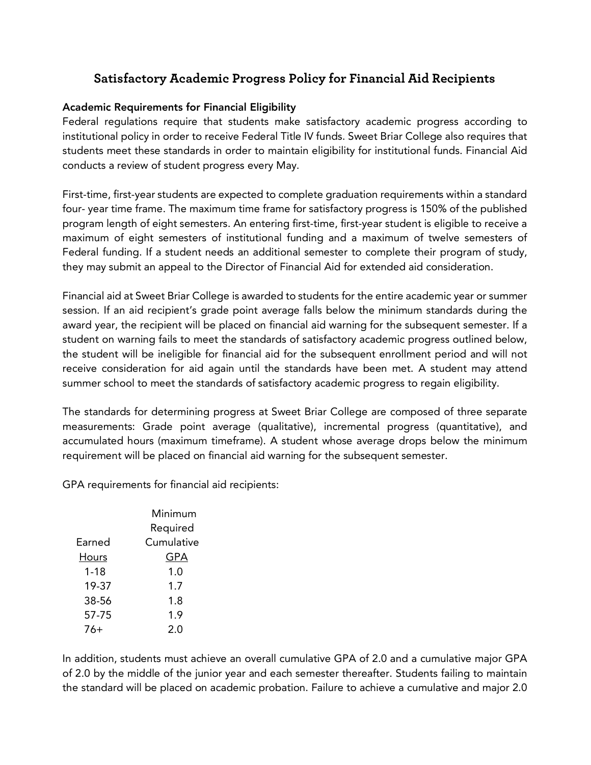## **Satisfactory Academic Progress Policy for Financial Aid Recipients**

#### Academic Requirements for Financial Eligibility

Federal regulations require that students make satisfactory academic progress according to institutional policy in order to receive Federal Title IV funds. Sweet Briar College also requires that students meet these standards in order to maintain eligibility for institutional funds. Financial Aid conducts a review of student progress every May.

First-time, first-year students are expected to complete graduation requirements within a standard four- year time frame. The maximum time frame for satisfactory progress is 150% of the published program length of eight semesters. An entering first-time, first-year student is eligible to receive a maximum of eight semesters of institutional funding and a maximum of twelve semesters of Federal funding. If a student needs an additional semester to complete their program of study, they may submit an appeal to the Director of Financial Aid for extended aid consideration.

Financial aid at Sweet Briar College is awarded to students for the entire academic year or summer session. If an aid recipient's grade point average falls below the minimum standards during the award year, the recipient will be placed on financial aid warning for the subsequent semester. If a student on warning fails to meet the standards of satisfactory academic progress outlined below, the student will be ineligible for financial aid for the subsequent enrollment period and will not receive consideration for aid again until the standards have been met. A student may attend summer school to meet the standards of satisfactory academic progress to regain eligibility.

The standards for determining progress at Sweet Briar College are composed of three separate measurements: Grade point average (qualitative), incremental progress (quantitative), and accumulated hours (maximum timeframe). A student whose average drops below the minimum requirement will be placed on financial aid warning for the subsequent semester.

GPA requirements for financial aid recipients:

|              | Minimum    |
|--------------|------------|
|              | Required   |
| Farned       | Cumulative |
| <b>Hours</b> | GPA        |
| $1 - 18$     | 1.0        |
| 19-37        | 1.7        |
| 38-56        | 1.8        |
| 57-75        | 1.9        |
| 76+          | 2.0        |

In addition, students must achieve an overall cumulative GPA of 2.0 and a cumulative major GPA of 2.0 by the middle of the junior year and each semester thereafter. Students failing to maintain the standard will be placed on academic probation. Failure to achieve a cumulative and major 2.0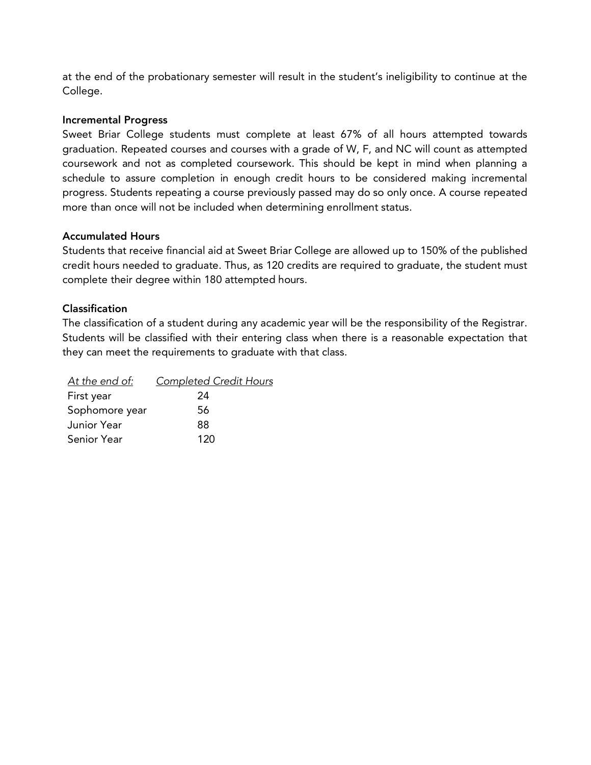at the end of the probationary semester will result in the student's ineligibility to continue at the College.

#### Incremental Progress

Sweet Briar College students must complete at least 67% of all hours attempted towards graduation. Repeated courses and courses with a grade of W, F, and NC will count as attempted coursework and not as completed coursework. This should be kept in mind when planning a schedule to assure completion in enough credit hours to be considered making incremental progress. Students repeating a course previously passed may do so only once. A course repeated more than once will not be included when determining enrollment status.

#### Accumulated Hours

Students that receive financial aid at Sweet Briar College are allowed up to 150% of the published credit hours needed to graduate. Thus, as 120 credits are required to graduate, the student must complete their degree within 180 attempted hours.

#### Classification

The classification of a student during any academic year will be the responsibility of the Registrar. Students will be classified with their entering class when there is a reasonable expectation that they can meet the requirements to graduate with that class.

| <u>At the end of:</u> | <b>Completed Credit Hours</b> |
|-----------------------|-------------------------------|
| First year            | 24                            |
| Sophomore year        | 56                            |
| Junior Year           | 88                            |
| Senior Year           | 120                           |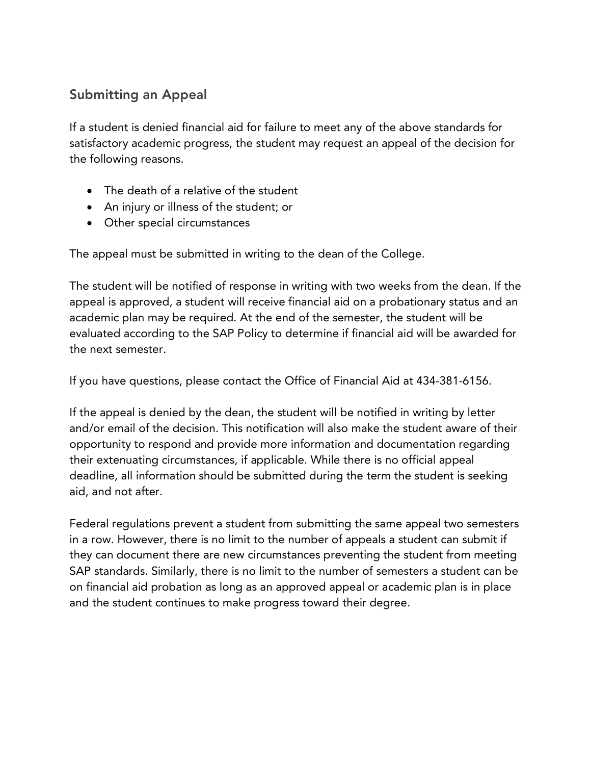# Submitting an Appeal

If a student is denied financial aid for failure to meet any of the above standards for satisfactory academic progress, the student may request an appeal of the decision for the following reasons.

- The death of a relative of the student
- An injury or illness of the student; or
- Other special circumstances

The appeal must be submitted in writing to the dean of the College.

The student will be notified of response in writing with two weeks from the dean. If the appeal is approved, a student will receive financial aid on a probationary status and an academic plan may be required. At the end of the semester, the student will be evaluated according to the SAP Policy to determine if financial aid will be awarded for the next semester.

If you have questions, please contact the Office of Financial Aid at 434-381-6156.

If the appeal is denied by the dean, the student will be notified in writing by letter and/or email of the decision. This notification will also make the student aware of their opportunity to respond and provide more information and documentation regarding their extenuating circumstances, if applicable. While there is no official appeal deadline, all information should be submitted during the term the student is seeking aid, and not after.

Federal regulations prevent a student from submitting the same appeal two semesters in a row. However, there is no limit to the number of appeals a student can submit if they can document there are new circumstances preventing the student from meeting SAP standards. Similarly, there is no limit to the number of semesters a student can be on financial aid probation as long as an approved appeal or academic plan is in place and the student continues to make progress toward their degree.